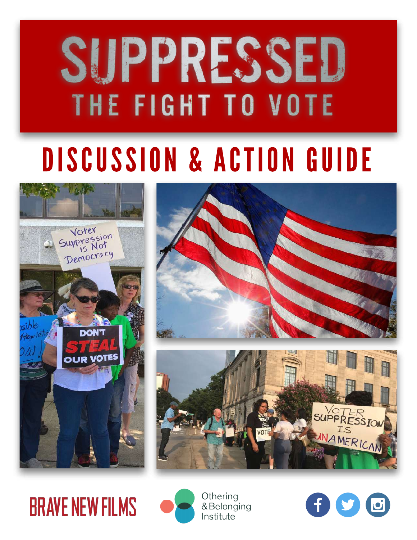# SUPPRESSED THE FIGHT TO VOTE

# DISCUSSION & ACTION GUIDE







# **BRAVE NEW FILMS**



Othering & Belonging Institute

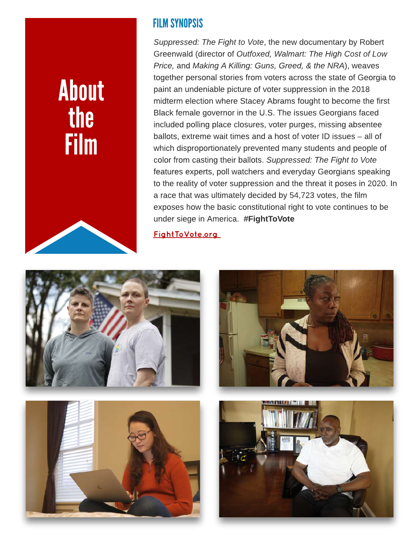# About the **Film**



### FILM SYNOPSIS

**Suppressed: The Fight to Vote**, the new documentary by Robert Greenwald (director of **Outfoxed, Walmart: The High Cost of Low Price,** and **Making A Killing: Guns, Greed, & the NRA**), weaves together personal stories from voters across the state of Georgia to paint an undeniable picture of voter suppression in the 2018 midterm election where Stacey Abrams fought to become the first Black female governor in the U.S. The issues Georgians faced included polling place closures, voter purges, missing absentee ballots, extreme wait times and a host of voter ID issues – all of which disproportionately prevented many students and people of color from casting their ballots. **Suppressed: The Fight to Vote** features experts, poll watchers and everyday Georgians speaking to the reality of voter suppression and the threat it poses in 2020. In a race that was ultimately decided by 54,723 votes, the film exposes how the basic constitutional right to vote continues to be under siege in America. #FightToVote

[FightToVote.org](http://www.FightToVote.org)







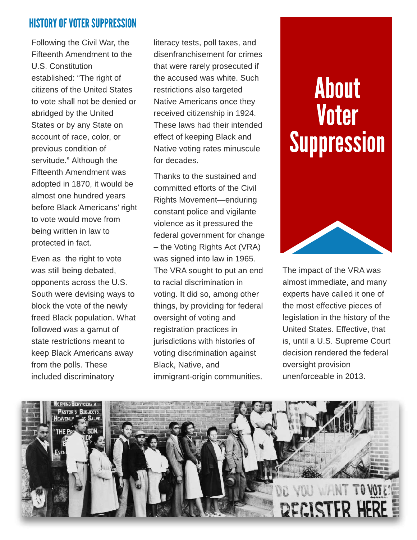### **HISTORY OF VOTER SUPPRESSION**

Following the Civil War, the Fifteenth Amendment to the U.S. Constitution established: "The right of citizens of the United States to vote shall not be denied or abridged by the United States or by any State on account of race, color, or previous condition of servitude." Although the Fifteenth Amendment was adopted in 1870, it would be almost one hundred years before Black Americans' right to vote would move from being written in law to protected in fact.

Even as the right to vote was still being debated, opponents across the U.S. South were devising ways to block the vote of the newly freed Black population. What followed was a gamut of state restrictions meant to keep Black Americans away from the polls. These included discriminatory

literacy tests, poll taxes, and disenfranchisement for crimes that were rarely prosecuted if the accused was white. Such restrictions also targeted Native Americans once they received citizenship in 1924. These laws had their intended effect of keeping Black and Native voting rates minuscule for decades.

Thanks to the sustained and committed efforts of the Civil Rights Movement-enduring constant police and vigilante violence as it pressured the federal government for change  $-$  the Voting Rights Act (VRA) was signed into law in 1965. The VRA sought to put an end to racial discrimination in voting. It did so, among other things, by providing for federal oversight of voting and registration practices in jurisdictions with histories of voting discrimination against Black, Native, and immigrant-origin communities.

# About Voter Suppression



The impact of the VRA was almost immediate, and many experts have called it one of the most effective pieces of legislation in the history of the United States. Effective, that is, until a U.S. Supreme Court decision rendered the federal oversight provision unenforceable in 2013.

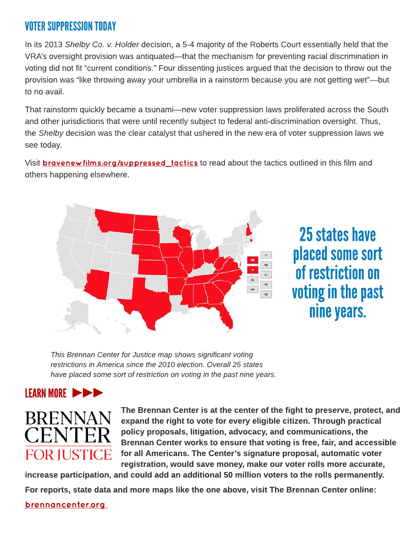### VOTER SUPPRESSION TODAY

In its 2013 **Shelby Co. v. Holder** decision, a 5-4 majority of the Roberts Court essentially held that the VRA's oversight provision was antiquated—that the mechanism for preventing racial discrimination in voting did not fit "current conditions." Four dissenting justices argued that the decision to throw out the provision was "like throwing away your umbrella in a rainstorm because you are not getting wet"—but to no avail.

That rainstorm quickly became a tsunami—new voter suppression laws proliferated across the South and other jurisdictions that were until recently subject to federal anti-discrimination oversight. Thus, the **Shelby** decision was the clear catalyst that ushered in the new era of voter suppression laws we see today.

Visit **bravenew films.org/suppressed\_tactics** to read about the tactics outlined in this film and others happening elsewhere.



# 25 states have placed some sort of restriction on voting in the past nine years.

**This Brennan Center for Justice map shows significant voting restrictions in America since the 2010 election. Overall 25 states have placed some sort of restriction on voting in the past nine years.**

## LEARN MORE



The Brennan Center is at the center of the fight to preserve, protect, and expand the right to vote for every eligible citizen. Through practical policy proposals, litigation, advocacy, and communications, the Brennan Center works to ensure that voting is free, fair, and accessible for all Americans. The Center?s signature proposal, automatic voter registration, would save money, make our voter rolls more accurate,

increase participation, and could add an additional 50 million voters to the rolls permanently.

For reports, state data and more maps like the one above, visit The Brennan Center online:

#### [brennancenter.org](http://brennancenter.org)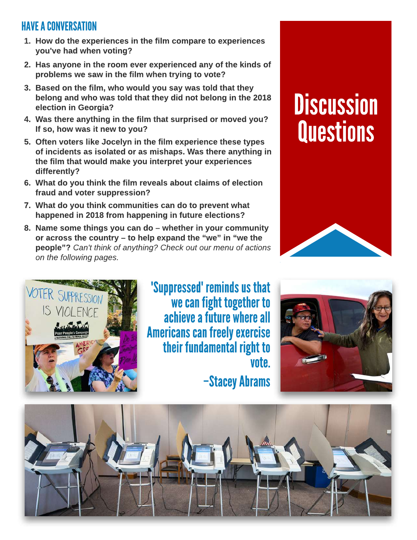### HAVE A CONVERSATION

- 1. How do the experiences in the film compare to experiences you've had when voting?
- 2. Has anyone in the room ever experienced any of the kinds of problems we saw in the film when trying to vote?
- 3. Based on the film, who would you say was told that they belong and who was told that they did not belong in the 2018 election in Georgia?
- 4. Was there anything in the film that surprised or moved you? If so, how was it new to you?
- 5. Often voters like Jocelyn in the film experience these types of incidents as isolated or as mishaps. Was there anything in the film that would make you interpret your experiences differently?
- 6. What do you think the film reveals about claims of election fraud and voter suppression?
- 7. What do you think communities can do to prevent what happened in 2018 from happening in future elections?
- 8. Name some things you can do  $-$  whether in your community or across the country  $-$  to help expand the "we" in "we the people?? **Can't think of anything? Check out our menu of actions on the following pages.**

# **Discussion Questions**





'Suppressed' reminds us that we can fight together to achieve a future where all **Americans can freely exercise** their fundamental right to vote.

-Stacey Abrams



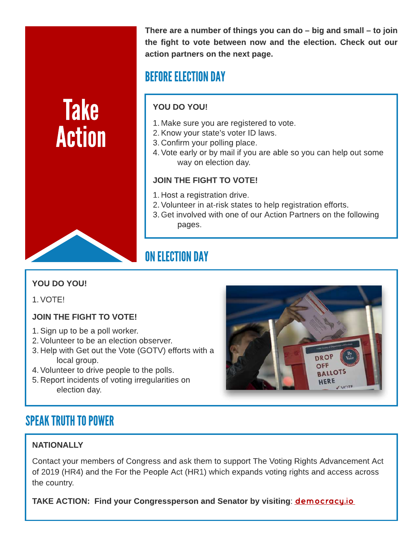Take Action There are a number of things you can do  $-$  big and small  $-$  to join the fight to vote between now and the election. Check out our action partners on the next page.

# BEFORE ELECTION DAY

#### YOU DO YOU!

- 1. Make sure you are registered to vote.
- 2.Know your state?s voter ID laws.
- 3. Confirm your polling place.
- 4.Vote early or by mail if you are able so you can help out some way on election day.

#### JOIN THE FIGHT TO VOTE!

- 1. Host a registration drive.
- 2.Volunteer in at-risk states to help registration efforts.
- 3. Get involved with one of our Action Partners on the following pages.

# ON ELECTION DAY

#### YOU DO YOU!

1.VOTE!

#### JOIN THE FIGHT TO VOTE!

- 1.Sign up to be a poll worker.
- 2.Volunteer to be an election observer.
- 3. Help with Get out the Vote (GOTV) efforts with a local group.
- 4.Volunteer to drive people to the polls.
- 5. Report incidents of voting irregularities on election day.

# SPEAK TRUTH TO POWER

#### **NATIONALLY**

Contact your members of Congress and ask them to support The Voting Rights Advancement Act of 2019 (HR4) and the For the People Act (HR1) which expands voting rights and access across the country.

TAKE ACTION: Find your Congressperson and Senator by visiting: **[democracy.io](https://democracy.io/#!/)** 

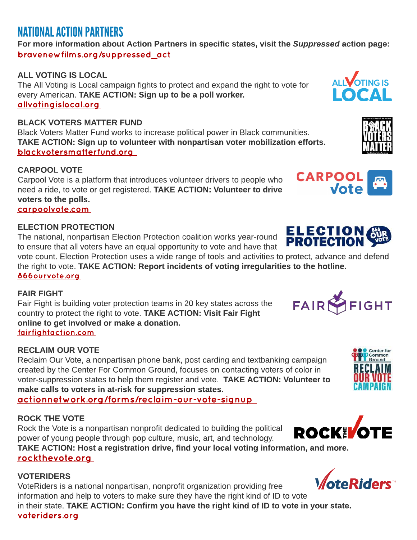## **NATIONAL ACTION PARTNERS**

For more information about Action Partners in specific states, visit the **Suppressed** action page: [bravenewfilms.org/suppressed\\_act](https://www.bravenewfilms.org/suppressed_act)

#### ALL VOTING IS LOCAL

The All Voting is Local campaign fights to protect and expand the right to vote for every American. TAKE ACTION: Sign up to be a poll worker. [allvotingislocal.org](http://allvotingislocal.org)

#### BLACK VOTERS MATTER FUND

Black Voters Matter Fund works to increase political power in Black communities. TAKE ACTION: Sign up to volunteer with nonpartisan voter mobilization efforts. [blackvotersmatterfund.org](http://blackvotersmatterfund.org)

#### CARPOOL VOTE

Carpool Vote is a platform that introduces volunteer drivers to people who need a ride, to vote or get registered. TAKE ACTION: Volunteer to drive voters to the polls. [carpoolvote.com](http://carpoolvote.com)

#### ELECTION PROTECTION

The national, nonpartisan Election Protection coalition works year-round to ensure that all voters have an equal opportunity to vote and have that

vote count. Election Protection uses a wide range of tools and activities to protect, advance and defend the right to vote. TAKE ACTION: Report incidents of voting irregularities to the hotline. [866ourvote.org](https://866ourvote.org/)

#### FAIR FIGHT

Fair Fight is building voter protection teams in 20 key states across the country to protect the right to vote. TAKE ACTION: Visit Fair Fight online to get involved or make a donation. [fairfightaction.com](http://fairfightaction.com)

#### RECLAIM OUR VOTE

Reclaim Our Vote, a nonpartisan phone bank, post carding and textbanking campaign created by the Center For Common Ground, focuses on contacting voters of color in voter-suppression states to help them register and vote. TAKE ACTION: Volunteer to make calls to voters in at-risk for suppression states.

#### ROCK THE VOTE

Rock the Vote is a nonpartisan nonprofit dedicated to building the political power of young people through pop culture, music, art, and technology.

TAKE ACTION: Host a registration drive, find your local voting information, and more. [rockthevote.org](http://rockthevote.org)

#### **VOTERIDERS**

VoteRiders is a national nonpartisan, nonprofit organization providing free information and help to voters to make sure they have the right kind of ID to vote in their state. TAKE ACTION: Confirm you have the right kind of ID to vote in your state. [voteriders.org](http://voteriders.org)

**Vote** 

**CARPOOL** 

**ELECTION**<br>**PROTECTION** 















[actionnetwork.org/forms/reclaim-our-vote-signup](http://actionnetwork.org/forms/reclaim-our-vote-signup)